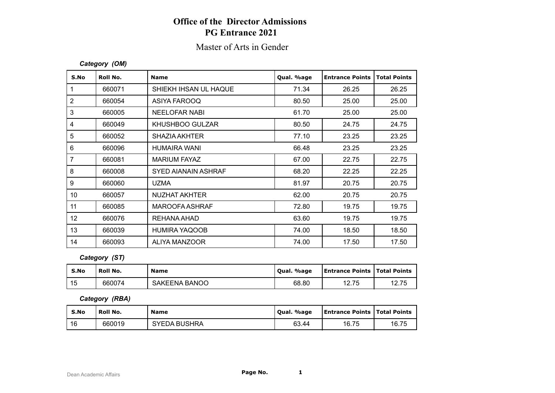# **Office of the Director Admissions PG Entrance 2021**

## Master of Arts in Gender

#### *Category (OM)*

| S.No           | Roll No. | <b>Name</b>            | Qual. %age | <b>Entrance Points</b> | <b>Total Points</b> |
|----------------|----------|------------------------|------------|------------------------|---------------------|
| 1              | 660071   | SHIEKH IHSAN UL HAQUE  | 71.34      | 26.25                  | 26.25               |
| $\overline{2}$ | 660054   | ASIYA FAROOQ           | 80.50      | 25.00                  | 25.00               |
| 3              | 660005   | <b>NEELOFAR NABI</b>   | 61.70      | 25.00                  | 25.00               |
| 4              | 660049   | <b>KHUSHBOO GULZAR</b> | 80.50      | 24.75                  | 24.75               |
| 5              | 660052   | <b>SHAZIA AKHTER</b>   | 77.10      | 23.25                  | 23.25               |
| 6              | 660096   | <b>HUMAIRA WANI</b>    | 66.48      | 23.25                  | 23.25               |
| $\overline{7}$ | 660081   | <b>MARIUM FAYAZ</b>    | 67.00      | 22.75                  | 22.75               |
| 8              | 660008   | SYED AIANAIN ASHRAF    | 68.20      | 22.25                  | 22.25               |
| 9              | 660060   | <b>UZMA</b>            | 81.97      | 20.75                  | 20.75               |
| 10             | 660057   | NUZHAT AKHTER          | 62.00      | 20.75                  | 20.75               |
| 11             | 660085   | MAROOFA ASHRAF         | 72.80      | 19.75                  | 19.75               |
| 12             | 660076   | REHANA AHAD            | 63.60      | 19.75                  | 19.75               |
| 13             | 660039   | <b>HUMIRA YAQOOB</b>   | 74.00      | 18.50                  | 18.50               |
| 14             | 660093   | ALIYA MANZOOR          | 74.00      | 17.50                  | 17.50               |

### *Category (ST)*

| S.No | ' Roll No. | <b>Name</b>          | Oual. %age | <b>Entrance Points   Total Points</b> |       |
|------|------------|----------------------|------------|---------------------------------------|-------|
| 15   | 660074     | <b>SAKEENA BANOO</b> | 68.80      | 1つ 75<br>ن ، . ۷                      | 12.75 |

#### *Category (RBA)*

| S.No | Roll No. | <b>Name</b>         | Qual. %age | <b>Entrance Points   Total Points</b> |       |
|------|----------|---------------------|------------|---------------------------------------|-------|
| -16  | 660019   | <b>SYEDA BUSHRA</b> | 63.44      | 16.75                                 | 16.75 |